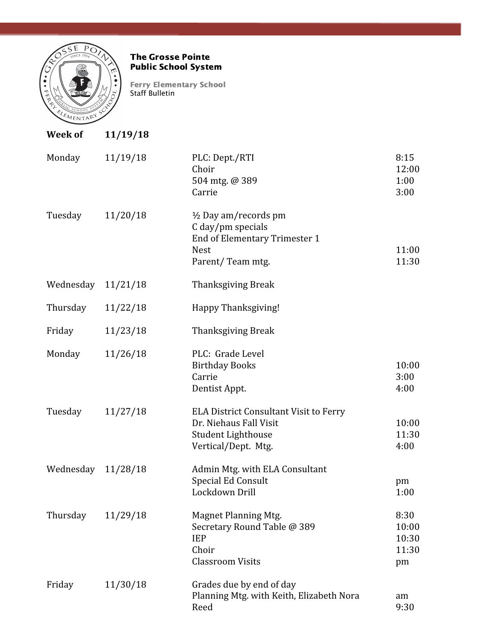

#### The Grosse Pointe Public School System

Ferry Elementary School Staff Bulletin

| <b>Week of</b> | 11/19/18 |                                                                                                                          |                                       |
|----------------|----------|--------------------------------------------------------------------------------------------------------------------------|---------------------------------------|
| Monday         | 11/19/18 | PLC: Dept./RTI<br>Choir<br>504 mtg. @ 389<br>Carrie                                                                      | 8:15<br>12:00<br>1:00<br>3:00         |
| Tuesday        | 11/20/18 | $\frac{1}{2}$ Day am/records pm<br>C day/pm specials<br>End of Elementary Trimester 1<br><b>Nest</b><br>Parent/Team mtg. | 11:00<br>11:30                        |
| Wednesday      | 11/21/18 | <b>Thanksgiving Break</b>                                                                                                |                                       |
| Thursday       | 11/22/18 | Happy Thanksgiving!                                                                                                      |                                       |
| Friday         | 11/23/18 | <b>Thanksgiving Break</b>                                                                                                |                                       |
| Monday         | 11/26/18 | PLC: Grade Level<br><b>Birthday Books</b><br>Carrie<br>Dentist Appt.                                                     | 10:00<br>3:00<br>4:00                 |
| Tuesday        | 11/27/18 | <b>ELA District Consultant Visit to Ferry</b><br>Dr. Niehaus Fall Visit<br>Student Lighthouse<br>Vertical/Dept. Mtg.     | 10:00<br>11:30<br>4:00                |
| Wednesday      | 11/28/18 | Admin Mtg. with ELA Consultant<br>Special Ed Consult<br>Lockdown Drill                                                   | pm<br>1:00                            |
| Thursday       | 11/29/18 | <b>Magnet Planning Mtg.</b><br>Secretary Round Table @ 389<br><b>IEP</b><br>Choir<br><b>Classroom Visits</b>             | 8:30<br>10:00<br>10:30<br>11:30<br>pm |
| Friday         | 11/30/18 | Grades due by end of day<br>Planning Mtg. with Keith, Elizabeth Nora<br>Reed                                             | am<br>9:30                            |